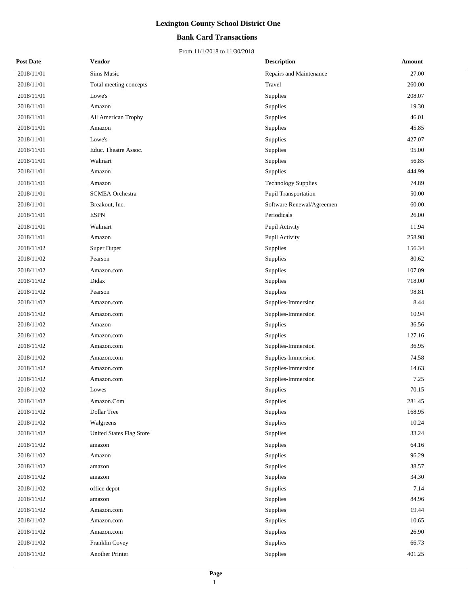### **Bank Card Transactions**

| <b>Post Date</b> | <b>Vendor</b>            | <b>Description</b>         | Amount |
|------------------|--------------------------|----------------------------|--------|
| 2018/11/01       | Sims Music               | Repairs and Maintenance    | 27.00  |
| 2018/11/01       | Total meeting concepts   | Travel                     | 260.00 |
| 2018/11/01       | Lowe's                   | Supplies                   | 208.07 |
| 2018/11/01       | Amazon                   | Supplies                   | 19.30  |
| 2018/11/01       | All American Trophy      | Supplies                   | 46.01  |
| 2018/11/01       | Amazon                   | Supplies                   | 45.85  |
| 2018/11/01       | Lowe's                   | Supplies                   | 427.07 |
| 2018/11/01       | Educ. Theatre Assoc.     | Supplies                   | 95.00  |
| 2018/11/01       | Walmart                  | Supplies                   | 56.85  |
| 2018/11/01       | Amazon                   | Supplies                   | 444.99 |
| 2018/11/01       | Amazon                   | <b>Technology Supplies</b> | 74.89  |
| 2018/11/01       | <b>SCMEA</b> Orchestra   | Pupil Transportation       | 50.00  |
| 2018/11/01       | Breakout, Inc.           | Software Renewal/Agreemen  | 60.00  |
| 2018/11/01       | <b>ESPN</b>              | Periodicals                | 26.00  |
| 2018/11/01       | Walmart                  | Pupil Activity             | 11.94  |
| 2018/11/01       | Amazon                   | Pupil Activity             | 258.98 |
| 2018/11/02       | <b>Super Duper</b>       | Supplies                   | 156.34 |
| 2018/11/02       | Pearson                  | Supplies                   | 80.62  |
| 2018/11/02       | Amazon.com               | Supplies                   | 107.09 |
| 2018/11/02       | Didax                    | Supplies                   | 718.00 |
| 2018/11/02       | Pearson                  | Supplies                   | 98.81  |
| 2018/11/02       | Amazon.com               | Supplies-Immersion         | 8.44   |
| 2018/11/02       | Amazon.com               | Supplies-Immersion         | 10.94  |
| 2018/11/02       | Amazon                   | Supplies                   | 36.56  |
| 2018/11/02       | Amazon.com               | Supplies                   | 127.16 |
| 2018/11/02       | Amazon.com               | Supplies-Immersion         | 36.95  |
| 2018/11/02       | Amazon.com               | Supplies-Immersion         | 74.58  |
| 2018/11/02       | Amazon.com               | Supplies-Immersion         | 14.63  |
| 2018/11/02       | Amazon.com               | Supplies-Immersion         | 7.25   |
| 2018/11/02       | Lowes                    | Supplies                   | 70.15  |
| 2018/11/02       | Amazon.Com               | Supplies                   | 281.45 |
| 2018/11/02       | Dollar Tree              | Supplies                   | 168.95 |
| 2018/11/02       | Walgreens                | Supplies                   | 10.24  |
| 2018/11/02       | United States Flag Store | Supplies                   | 33.24  |
| 2018/11/02       | amazon                   | Supplies                   | 64.16  |
| 2018/11/02       | Amazon                   | Supplies                   | 96.29  |
| 2018/11/02       | amazon                   | Supplies                   | 38.57  |
| 2018/11/02       | amazon                   | Supplies                   | 34.30  |
| 2018/11/02       | office depot             | Supplies                   | 7.14   |
| 2018/11/02       | amazon                   | Supplies                   | 84.96  |
| 2018/11/02       | Amazon.com               | Supplies                   | 19.44  |
| 2018/11/02       | Amazon.com               | Supplies                   | 10.65  |
| 2018/11/02       | Amazon.com               | Supplies                   | 26.90  |
| 2018/11/02       | Franklin Covey           | Supplies                   | 66.73  |
| 2018/11/02       | Another Printer          | Supplies                   | 401.25 |
|                  |                          |                            |        |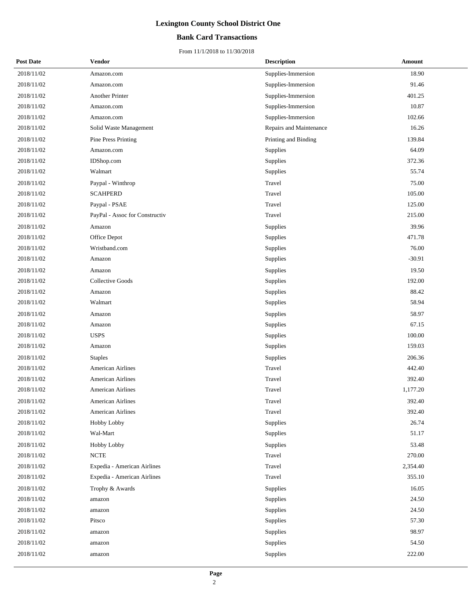### **Bank Card Transactions**

| <b>Post Date</b> | <b>Vendor</b>                  | <b>Description</b>      | Amount   |
|------------------|--------------------------------|-------------------------|----------|
| 2018/11/02       | Amazon.com                     | Supplies-Immersion      | 18.90    |
| 2018/11/02       | Amazon.com                     | Supplies-Immersion      | 91.46    |
| 2018/11/02       | Another Printer                | Supplies-Immersion      | 401.25   |
| 2018/11/02       | Amazon.com                     | Supplies-Immersion      | 10.87    |
| 2018/11/02       | Amazon.com                     | Supplies-Immersion      | 102.66   |
| 2018/11/02       | Solid Waste Management         | Repairs and Maintenance | 16.26    |
| 2018/11/02       | Pine Press Printing            | Printing and Binding    | 139.84   |
| 2018/11/02       | Amazon.com                     | Supplies                | 64.09    |
| 2018/11/02       | IDShop.com                     | Supplies                | 372.36   |
| 2018/11/02       | Walmart                        | Supplies                | 55.74    |
| 2018/11/02       | Paypal - Winthrop              | Travel                  | 75.00    |
| 2018/11/02       | <b>SCAHPERD</b>                | Travel                  | 105.00   |
| 2018/11/02       | Paypal - PSAE                  | Travel                  | 125.00   |
| 2018/11/02       | PayPal - Assoc for Constructiv | Travel                  | 215.00   |
| 2018/11/02       | Amazon                         | Supplies                | 39.96    |
| 2018/11/02       | Office Depot                   | Supplies                | 471.78   |
| 2018/11/02       | Wristband.com                  | Supplies                | 76.00    |
| 2018/11/02       | Amazon                         | Supplies                | $-30.91$ |
| 2018/11/02       | Amazon                         | Supplies                | 19.50    |
| 2018/11/02       | Collective Goods               | Supplies                | 192.00   |
| 2018/11/02       | Amazon                         | Supplies                | 88.42    |
| 2018/11/02       | Walmart                        | Supplies                | 58.94    |
| 2018/11/02       | Amazon                         | Supplies                | 58.97    |
| 2018/11/02       | Amazon                         | Supplies                | 67.15    |
| 2018/11/02       | <b>USPS</b>                    | Supplies                | 100.00   |
| 2018/11/02       | Amazon                         | Supplies                | 159.03   |
| 2018/11/02       | <b>Staples</b>                 | Supplies                | 206.36   |
| 2018/11/02       | American Airlines              | Travel                  | 442.40   |
| 2018/11/02       | American Airlines              | Travel                  | 392.40   |
| 2018/11/02       | American Airlines              | Travel                  | 1,177.20 |
| 2018/11/02       | American Airlines              | Travel                  | 392.40   |
| 2018/11/02       | American Airlines              | Travel                  | 392.40   |
| 2018/11/02       | Hobby Lobby                    | Supplies                | 26.74    |
| 2018/11/02       | Wal-Mart                       | Supplies                | 51.17    |
| 2018/11/02       | Hobby Lobby                    | Supplies                | 53.48    |
| 2018/11/02       | <b>NCTE</b>                    | Travel                  | 270.00   |
| 2018/11/02       | Expedia - American Airlines    | Travel                  | 2,354.40 |
| 2018/11/02       | Expedia - American Airlines    | Travel                  | 355.10   |
| 2018/11/02       | Trophy & Awards                | Supplies                | 16.05    |
| 2018/11/02       | amazon                         | Supplies                | 24.50    |
| 2018/11/02       | amazon                         | Supplies                | 24.50    |
| 2018/11/02       | Pitsco                         | Supplies                | 57.30    |
| 2018/11/02       | amazon                         | Supplies                | 98.97    |
| 2018/11/02       | amazon                         | Supplies                | 54.50    |
| 2018/11/02       | amazon                         | Supplies                | 222.00   |
|                  |                                |                         |          |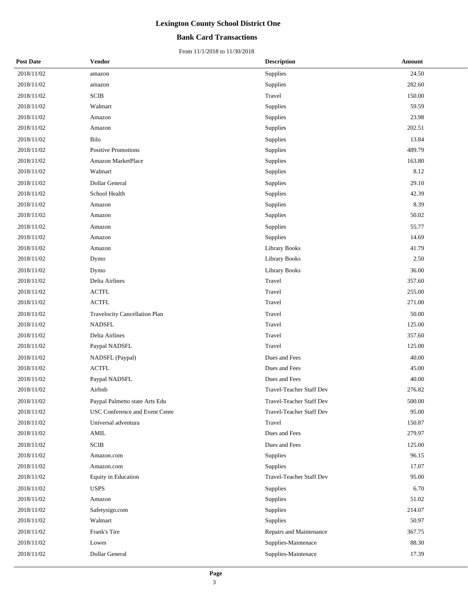### **Bank Card Transactions**

| <b>Post Date</b> | Vendor                         | <b>Description</b>       | Amount |
|------------------|--------------------------------|--------------------------|--------|
| 2018/11/02       | amazon                         | Supplies                 | 24.50  |
| 2018/11/02       | amazon                         | Supplies                 | 282.60 |
| 2018/11/02       | SCIB                           | Travel                   | 150.00 |
| 2018/11/02       | Walmart                        | Supplies                 | 59.59  |
| 2018/11/02       | Amazon                         | Supplies                 | 23.98  |
| 2018/11/02       | Amazon                         | Supplies                 | 202.51 |
| 2018/11/02       | Bilo                           | Supplies                 | 13.84  |
| 2018/11/02       | Positive Promotions            | Supplies                 | 489.79 |
| 2018/11/02       | Amazon MarketPlace             | Supplies                 | 163.80 |
| 2018/11/02       | Walmart                        | Supplies                 | 8.12   |
| 2018/11/02       | Dollar General                 | Supplies                 | 29.10  |
| 2018/11/02       | School Health                  | Supplies                 | 42.39  |
| 2018/11/02       | Amazon                         | Supplies                 | 8.39   |
| 2018/11/02       | Amazon                         | Supplies                 | 50.02  |
| 2018/11/02       | Amazon                         | Supplies                 | 55.77  |
| 2018/11/02       | Amazon                         | Supplies                 | 14.69  |
| 2018/11/02       | Amazon                         | Library Books            | 41.79  |
| 2018/11/02       | Dymo                           | <b>Library Books</b>     | 2.50   |
| 2018/11/02       | Dymo                           | <b>Library Books</b>     | 36.00  |
| 2018/11/02       | Delta Airlines                 | Travel                   | 357.60 |
| 2018/11/02       | <b>ACTFL</b>                   | Travel                   | 255.00 |
| 2018/11/02       | <b>ACTFL</b>                   | Travel                   | 271.00 |
| 2018/11/02       | Travelocity Cancellation Plan  | Travel                   | 50.00  |
| 2018/11/02       | <b>NADSFL</b>                  | Travel                   | 125.00 |
| 2018/11/02       | Delta Airlines                 | Travel                   | 357.60 |
| 2018/11/02       | Paypal NADSFL                  | Travel                   | 125.00 |
| 2018/11/02       | NADSFL (Paypal)                | Dues and Fees            | 40.00  |
| 2018/11/02       | <b>ACTFL</b>                   | Dues and Fees            | 45.00  |
| 2018/11/02       | Paypal NADSFL                  | Dues and Fees            | 40.00  |
| 2018/11/02       | Airbnb                         | Travel-Teacher Staff Dev | 276.82 |
| 2018/11/02       | Paypal Palmetto state Arts Edu | Travel-Teacher Staff Dev | 500.00 |
| 2018/11/02       | USC Conference and Event Cente | Travel-Teacher Staff Dev | 95.00  |
| 2018/11/02       | Universal adventura            | Travel                   | 150.87 |
| 2018/11/02       | AMIL                           | Dues and Fees            | 279.97 |
| 2018/11/02       | SCIB                           | Dues and Fees            | 125.00 |
| 2018/11/02       | Amazon.com                     | Supplies                 | 96.15  |
| 2018/11/02       | Amazon.com                     | Supplies                 | 17.07  |
| 2018/11/02       | Equity in Education            | Travel-Teacher Staff Dev | 95.00  |
| 2018/11/02       | <b>USPS</b>                    | Supplies                 | 6.70   |
| 2018/11/02       | Amazon                         | Supplies                 | 51.02  |
| 2018/11/02       | Safetysign.com                 | Supplies                 | 214.07 |
| 2018/11/02       | Walmart                        | Supplies                 | 50.97  |
| 2018/11/02       | Frank's Tire                   | Repairs and Maintenance  | 367.75 |
| 2018/11/02       | Lowes                          | Supplies-Maintenace      | 88.30  |
| 2018/11/02       | Dollar General                 | Supplies-Maintenace      | 17.39  |
|                  |                                |                          |        |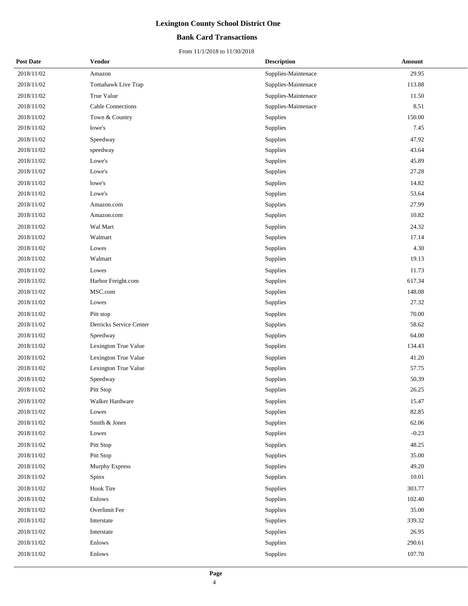### **Bank Card Transactions**

| <b>Post Date</b> | <b>Vendor</b>           | <b>Description</b>  | <b>Amount</b> |
|------------------|-------------------------|---------------------|---------------|
| 2018/11/02       | Amazon                  | Supplies-Maintenace | 29.95         |
| 2018/11/02       | Tomahawk Live Trap      | Supplies-Maintenace | 113.88        |
| 2018/11/02       | True Value              | Supplies-Maintenace | 11.50         |
| 2018/11/02       | Cable Connections       | Supplies-Maintenace | 8.51          |
| 2018/11/02       | Town & Country          | Supplies            | 150.00        |
| 2018/11/02       | lowe's                  | Supplies            | 7.45          |
| 2018/11/02       | Speedway                | Supplies            | 47.92         |
| 2018/11/02       | speedway                | Supplies            | 43.64         |
| 2018/11/02       | Lowe's                  | Supplies            | 45.89         |
| 2018/11/02       | Lowe's                  | Supplies            | 27.28         |
| 2018/11/02       | lowe's                  | Supplies            | 14.82         |
| 2018/11/02       | Lowe's                  | Supplies            | 53.64         |
| 2018/11/02       | Amazon.com              | Supplies            | 27.99         |
| 2018/11/02       | Amazon.com              | Supplies            | 10.82         |
| 2018/11/02       | Wal Mart                | Supplies            | 24.32         |
| 2018/11/02       | Walmart                 | Supplies            | 17.14         |
| 2018/11/02       | Lowes                   | Supplies            | 4.30          |
| 2018/11/02       | Walmart                 | Supplies            | 19.13         |
| 2018/11/02       | Lowes                   | Supplies            | 11.73         |
| 2018/11/02       | Harbor Freight.com      | Supplies            | 617.34        |
| 2018/11/02       | MSC.com                 | Supplies            | 148.08        |
| 2018/11/02       | Lowes                   | Supplies            | 27.32         |
| 2018/11/02       | Pitt stop               | Supplies            | 70.00         |
| 2018/11/02       | Derricks Service Center | Supplies            | 58.62         |
| 2018/11/02       | Speedway                | Supplies            | 64.00         |
| 2018/11/02       | Lexington True Value    | Supplies            | 134.43        |
| 2018/11/02       | Lexington True Value    | Supplies            | 41.20         |
| 2018/11/02       | Lexington True Value    | Supplies            | 57.75         |
| 2018/11/02       | Speedway                | Supplies            | 50.39         |
| 2018/11/02       | Pitt Stop               | Supplies            | 26.25         |
| 2018/11/02       | Walker Hardware         | Supplies            | 15.47         |
| 2018/11/02       | Lowes                   | Supplies            | 82.85         |
| 2018/11/02       | Smith & Jones           | Supplies            | 62.06         |
| 2018/11/02       | Lowes                   | Supplies            | $-0.23$       |
| 2018/11/02       | Pitt Stop               | Supplies            | 48.25         |
| 2018/11/02       | Pitt Stop               | Supplies            | 35.00         |
| 2018/11/02       | <b>Murphy Express</b>   | Supplies            | 49.20         |
| 2018/11/02       | Spinx                   | Supplies            | 10.01         |
| 2018/11/02       | <b>Hook Tire</b>        | Supplies            | 303.77        |
| 2018/11/02       | Enlows                  | Supplies            | 102.40        |
| 2018/11/02       | Overlimit Fee           | Supplies            | 35.00         |
| 2018/11/02       | Interstate              | Supplies            | 339.32        |
| 2018/11/02       | Interstate              | Supplies            | 26.95         |
| 2018/11/02       | Enlows                  | Supplies            | 290.61        |
| 2018/11/02       | Enlows                  | Supplies            | 107.70        |
|                  |                         |                     |               |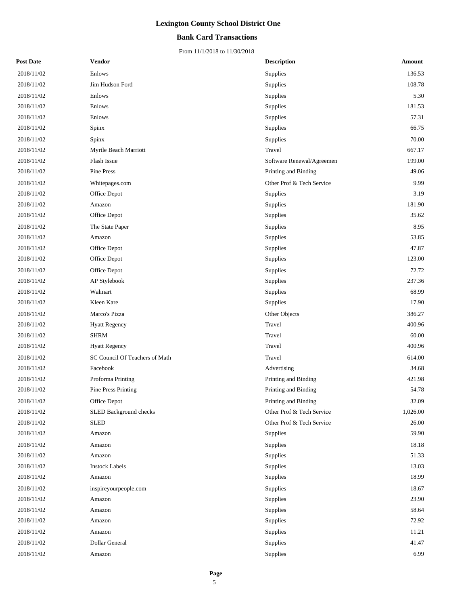### **Bank Card Transactions**

| <b>Post Date</b> | <b>Vendor</b>                  | <b>Description</b>        | Amount   |
|------------------|--------------------------------|---------------------------|----------|
| 2018/11/02       | Enlows                         | Supplies                  | 136.53   |
| 2018/11/02       | Jim Hudson Ford                | Supplies                  | 108.78   |
| 2018/11/02       | Enlows                         | Supplies                  | 5.30     |
| 2018/11/02       | Enlows                         | Supplies                  | 181.53   |
| 2018/11/02       | Enlows                         | Supplies                  | 57.31    |
| 2018/11/02       | Spinx                          | Supplies                  | 66.75    |
| 2018/11/02       | Spinx                          | Supplies                  | 70.00    |
| 2018/11/02       | Myrtle Beach Marriott          | Travel                    | 667.17   |
| 2018/11/02       | Flash Issue                    | Software Renewal/Agreemen | 199.00   |
| 2018/11/02       | Pine Press                     | Printing and Binding      | 49.06    |
| 2018/11/02       | Whitepages.com                 | Other Prof & Tech Service | 9.99     |
| 2018/11/02       | Office Depot                   | Supplies                  | 3.19     |
| 2018/11/02       | Amazon                         | Supplies                  | 181.90   |
| 2018/11/02       | Office Depot                   | Supplies                  | 35.62    |
| 2018/11/02       | The State Paper                | Supplies                  | 8.95     |
| 2018/11/02       | Amazon                         | Supplies                  | 53.85    |
| 2018/11/02       | Office Depot                   | Supplies                  | 47.87    |
| 2018/11/02       | Office Depot                   | Supplies                  | 123.00   |
| 2018/11/02       | Office Depot                   | Supplies                  | 72.72    |
| 2018/11/02       | AP Stylebook                   | Supplies                  | 237.36   |
| 2018/11/02       | Walmart                        | Supplies                  | 68.99    |
| 2018/11/02       | Kleen Kare                     | Supplies                  | 17.90    |
| 2018/11/02       | Marco's Pizza                  | Other Objects             | 386.27   |
| 2018/11/02       | <b>Hyatt Regency</b>           | Travel                    | 400.96   |
| 2018/11/02       | <b>SHRM</b>                    | Travel                    | 60.00    |
| 2018/11/02       | <b>Hyatt Regency</b>           | Travel                    | 400.96   |
| 2018/11/02       | SC Council Of Teachers of Math | Travel                    | 614.00   |
| 2018/11/02       | Facebook                       | Advertising               | 34.68    |
| 2018/11/02       | Proforma Printing              | Printing and Binding      | 421.98   |
| 2018/11/02       | Pine Press Printing            | Printing and Binding      | 54.78    |
| 2018/11/02       | Office Depot                   | Printing and Binding      | 32.09    |
| 2018/11/02       | SLED Background checks         | Other Prof & Tech Service | 1,026.00 |
| 2018/11/02       | <b>SLED</b>                    | Other Prof & Tech Service | 26.00    |
| 2018/11/02       | Amazon                         | Supplies                  | 59.90    |
| 2018/11/02       | Amazon                         | Supplies                  | 18.18    |
| 2018/11/02       | Amazon                         | Supplies                  | 51.33    |
| 2018/11/02       | <b>Instock Labels</b>          | Supplies                  | 13.03    |
| 2018/11/02       | Amazon                         | Supplies                  | 18.99    |
| 2018/11/02       | inspireyourpeople.com          | Supplies                  | 18.67    |
| 2018/11/02       | Amazon                         | Supplies                  | 23.90    |
| 2018/11/02       | Amazon                         | Supplies                  | 58.64    |
| 2018/11/02       | Amazon                         | Supplies                  | 72.92    |
| 2018/11/02       | Amazon                         | Supplies                  | 11.21    |
| 2018/11/02       | Dollar General                 | Supplies                  | 41.47    |
| 2018/11/02       | Amazon                         | Supplies                  | 6.99     |
|                  |                                |                           |          |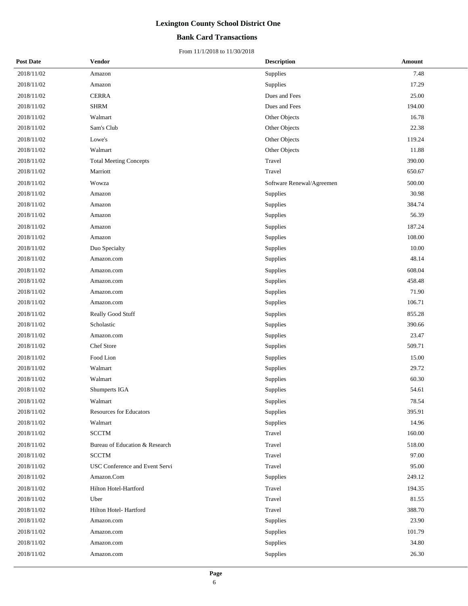### **Bank Card Transactions**

| <b>Post Date</b> | <b>Vendor</b>                  | <b>Description</b>        | Amount |
|------------------|--------------------------------|---------------------------|--------|
| 2018/11/02       | Amazon                         | Supplies                  | 7.48   |
| 2018/11/02       | Amazon                         | Supplies                  | 17.29  |
| 2018/11/02       | <b>CERRA</b>                   | Dues and Fees             | 25.00  |
| 2018/11/02       | <b>SHRM</b>                    | Dues and Fees             | 194.00 |
| 2018/11/02       | Walmart                        | Other Objects             | 16.78  |
| 2018/11/02       | Sam's Club                     | Other Objects             | 22.38  |
| 2018/11/02       | Lowe's                         | Other Objects             | 119.24 |
| 2018/11/02       | Walmart                        | Other Objects             | 11.88  |
| 2018/11/02       | <b>Total Meeting Concepts</b>  | Travel                    | 390.00 |
| 2018/11/02       | Marriott                       | Travel                    | 650.67 |
| 2018/11/02       | Wowza                          | Software Renewal/Agreemen | 500.00 |
| 2018/11/02       | Amazon                         | Supplies                  | 30.98  |
| 2018/11/02       | Amazon                         | Supplies                  | 384.74 |
| 2018/11/02       | Amazon                         | Supplies                  | 56.39  |
| 2018/11/02       | Amazon                         | Supplies                  | 187.24 |
| 2018/11/02       | Amazon                         | Supplies                  | 108.00 |
| 2018/11/02       | Duo Specialty                  | Supplies                  | 10.00  |
| 2018/11/02       | Amazon.com                     | Supplies                  | 48.14  |
| 2018/11/02       | Amazon.com                     | Supplies                  | 608.04 |
| 2018/11/02       | Amazon.com                     | Supplies                  | 458.48 |
| 2018/11/02       | Amazon.com                     | Supplies                  | 71.90  |
| 2018/11/02       | Amazon.com                     | Supplies                  | 106.71 |
| 2018/11/02       | Really Good Stuff              | Supplies                  | 855.28 |
| 2018/11/02       | Scholastic                     | Supplies                  | 390.66 |
| 2018/11/02       | Amazon.com                     | Supplies                  | 23.47  |
| 2018/11/02       | Chef Store                     | Supplies                  | 509.71 |
| 2018/11/02       | Food Lion                      | Supplies                  | 15.00  |
| 2018/11/02       | Walmart                        | Supplies                  | 29.72  |
| 2018/11/02       | Walmart                        | Supplies                  | 60.30  |
| 2018/11/02       | Shumperts IGA                  | Supplies                  | 54.61  |
| 2018/11/02       | Walmart                        | Supplies                  | 78.54  |
| 2018/11/02       | <b>Resources for Educators</b> | Supplies                  | 395.91 |
| 2018/11/02       | Walmart                        | Supplies                  | 14.96  |
| 2018/11/02       | <b>SCCTM</b>                   | Travel                    | 160.00 |
| 2018/11/02       | Bureau of Education & Research | Travel                    | 518.00 |
| 2018/11/02       | <b>SCCTM</b>                   | Travel                    | 97.00  |
| 2018/11/02       | USC Conference and Event Servi | Travel                    | 95.00  |
| 2018/11/02       | Amazon.Com                     | Supplies                  | 249.12 |
| 2018/11/02       | Hilton Hotel-Hartford          | Travel                    | 194.35 |
| 2018/11/02       | Uber                           | Travel                    | 81.55  |
| 2018/11/02       | Hilton Hotel-Hartford          | Travel                    | 388.70 |
| 2018/11/02       | Amazon.com                     | Supplies                  | 23.90  |
| 2018/11/02       | Amazon.com                     | Supplies                  | 101.79 |
| 2018/11/02       | Amazon.com                     | Supplies                  | 34.80  |
| 2018/11/02       | Amazon.com                     | Supplies                  | 26.30  |
|                  |                                |                           |        |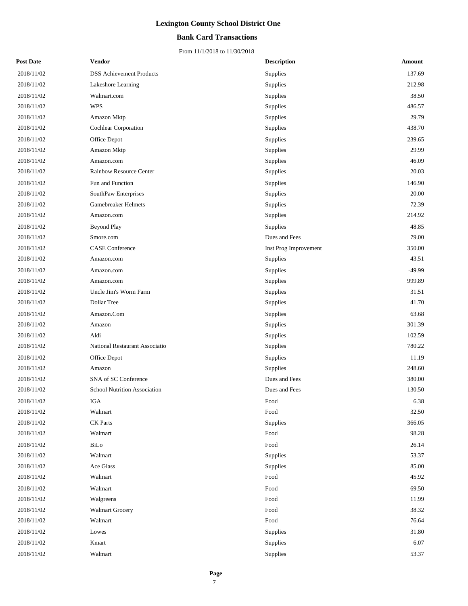### **Bank Card Transactions**

| <b>Post Date</b> | Vendor                              | <b>Description</b>    | Amount |
|------------------|-------------------------------------|-----------------------|--------|
| 2018/11/02       | <b>DSS Achievement Products</b>     | Supplies              | 137.69 |
| 2018/11/02       | Lakeshore Learning                  | Supplies              | 212.98 |
| 2018/11/02       | Walmart.com                         | Supplies              | 38.50  |
| 2018/11/02       | <b>WPS</b>                          | Supplies              | 486.57 |
| 2018/11/02       | Amazon Mktp                         | Supplies              | 29.79  |
| 2018/11/02       | Cochlear Corporation                | Supplies              | 438.70 |
| 2018/11/02       | Office Depot                        | Supplies              | 239.65 |
| 2018/11/02       | Amazon Mktp                         | Supplies              | 29.99  |
| 2018/11/02       | Amazon.com                          | Supplies              | 46.09  |
| 2018/11/02       | Rainbow Resource Center             | Supplies              | 20.03  |
| 2018/11/02       | Fun and Function                    | Supplies              | 146.90 |
| 2018/11/02       | SouthPaw Enterprises                | Supplies              | 20.00  |
| 2018/11/02       | Gamebreaker Helmets                 | Supplies              | 72.39  |
| 2018/11/02       | Amazon.com                          | Supplies              | 214.92 |
| 2018/11/02       | <b>Beyond Play</b>                  | Supplies              | 48.85  |
| 2018/11/02       | Smore.com                           | Dues and Fees         | 79.00  |
| 2018/11/02       | <b>CASE</b> Conference              | Inst Prog Improvement | 350.00 |
| 2018/11/02       | Amazon.com                          | Supplies              | 43.51  |
| 2018/11/02       | Amazon.com                          | Supplies              | -49.99 |
| 2018/11/02       | Amazon.com                          | Supplies              | 999.89 |
| 2018/11/02       | Uncle Jim's Worm Farm               | Supplies              | 31.51  |
| 2018/11/02       | Dollar Tree                         | Supplies              | 41.70  |
| 2018/11/02       | Amazon.Com                          | Supplies              | 63.68  |
| 2018/11/02       | Amazon                              | Supplies              | 301.39 |
| 2018/11/02       | Aldi                                | Supplies              | 102.59 |
| 2018/11/02       | National Restaurant Associatio      | Supplies              | 780.22 |
| 2018/11/02       | Office Depot                        | Supplies              | 11.19  |
| 2018/11/02       | Amazon                              | Supplies              | 248.60 |
| 2018/11/02       | SNA of SC Conference                | Dues and Fees         | 380.00 |
| 2018/11/02       | <b>School Nutrition Association</b> | Dues and Fees         | 130.50 |
| 2018/11/02       | IGA                                 | Food                  | 6.38   |
| 2018/11/02       | Walmart                             | Food                  | 32.50  |
| 2018/11/02       | <b>CK</b> Parts                     | Supplies              | 366.05 |
| 2018/11/02       | Walmart                             | Food                  | 98.28  |
| 2018/11/02       | BiLo                                | Food                  | 26.14  |
| 2018/11/02       | Walmart                             | Supplies              | 53.37  |
| 2018/11/02       | Ace Glass                           | Supplies              | 85.00  |
| 2018/11/02       | Walmart                             | Food                  | 45.92  |
| 2018/11/02       | Walmart                             | Food                  | 69.50  |
| 2018/11/02       | Walgreens                           | Food                  | 11.99  |
| 2018/11/02       | <b>Walmart Grocery</b>              | Food                  | 38.32  |
| 2018/11/02       | Walmart                             | Food                  | 76.64  |
| 2018/11/02       | Lowes                               | Supplies              | 31.80  |
| 2018/11/02       | Kmart                               | Supplies              | 6.07   |
| 2018/11/02       | Walmart                             | Supplies              | 53.37  |
|                  |                                     |                       |        |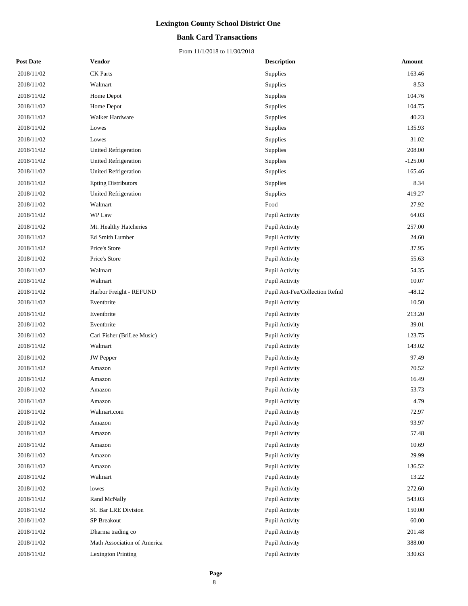### **Bank Card Transactions**

| <b>Post Date</b> | <b>Vendor</b>               | <b>Description</b>             | <b>Amount</b> |
|------------------|-----------------------------|--------------------------------|---------------|
| 2018/11/02       | <b>CK</b> Parts             | Supplies                       | 163.46        |
| 2018/11/02       | Walmart                     | Supplies                       | 8.53          |
| 2018/11/02       | Home Depot                  | Supplies                       | 104.76        |
| 2018/11/02       | Home Depot                  | Supplies                       | 104.75        |
| 2018/11/02       | Walker Hardware             | Supplies                       | 40.23         |
| 2018/11/02       | Lowes                       | Supplies                       | 135.93        |
| 2018/11/02       | Lowes                       | Supplies                       | 31.02         |
| 2018/11/02       | <b>United Refrigeration</b> | Supplies                       | 208.00        |
| 2018/11/02       | <b>United Refrigeration</b> | Supplies                       | $-125.00$     |
| 2018/11/02       | United Refrigeration        | Supplies                       | 165.46        |
| 2018/11/02       | <b>Epting Distributors</b>  | Supplies                       | 8.34          |
| 2018/11/02       | <b>United Refrigeration</b> | Supplies                       | 419.27        |
| 2018/11/02       | Walmart                     | Food                           | 27.92         |
| 2018/11/02       | WP Law                      | Pupil Activity                 | 64.03         |
| 2018/11/02       | Mt. Healthy Hatcheries      | Pupil Activity                 | 257.00        |
| 2018/11/02       | Ed Smith Lumber             | Pupil Activity                 | 24.60         |
| 2018/11/02       | Price's Store               | Pupil Activity                 | 37.95         |
| 2018/11/02       | Price's Store               | Pupil Activity                 | 55.63         |
| 2018/11/02       | Walmart                     | Pupil Activity                 | 54.35         |
| 2018/11/02       | Walmart                     | Pupil Activity                 | 10.07         |
| 2018/11/02       | Harbor Freight - REFUND     | Pupil Act-Fee/Collection Refnd | $-48.12$      |
| 2018/11/02       | Eventbrite                  | Pupil Activity                 | 10.50         |
| 2018/11/02       | Eventbrite                  | Pupil Activity                 | 213.20        |
| 2018/11/02       | Eventbrite                  | Pupil Activity                 | 39.01         |
| 2018/11/02       | Carl Fisher (BriLee Music)  | Pupil Activity                 | 123.75        |
| 2018/11/02       | Walmart                     | Pupil Activity                 | 143.02        |
| 2018/11/02       | <b>JW</b> Pepper            | Pupil Activity                 | 97.49         |
| 2018/11/02       | Amazon                      | Pupil Activity                 | 70.52         |
| 2018/11/02       | Amazon                      | Pupil Activity                 | 16.49         |
| 2018/11/02       | Amazon                      | Pupil Activity                 | 53.73         |
| 2018/11/02       | Amazon                      | Pupil Activity                 | 4.79          |
| 2018/11/02       | Walmart.com                 | Pupil Activity                 | 72.97         |
| 2018/11/02       | Amazon                      | Pupil Activity                 | 93.97         |
| 2018/11/02       | Amazon                      | Pupil Activity                 | 57.48         |
| 2018/11/02       | Amazon                      | Pupil Activity                 | 10.69         |
| 2018/11/02       | Amazon                      | Pupil Activity                 | 29.99         |
| 2018/11/02       | Amazon                      | Pupil Activity                 | 136.52        |
| 2018/11/02       | Walmart                     | Pupil Activity                 | 13.22         |
| 2018/11/02       | lowes                       | Pupil Activity                 | 272.60        |
| 2018/11/02       | Rand McNally                | Pupil Activity                 | 543.03        |
| 2018/11/02       | SC Bar LRE Division         | Pupil Activity                 | 150.00        |
| 2018/11/02       | SP Breakout                 | Pupil Activity                 | 60.00         |
| 2018/11/02       | Dharma trading co           | Pupil Activity                 | 201.48        |
| 2018/11/02       | Math Association of America | Pupil Activity                 | 388.00        |
| 2018/11/02       | Lexington Printing          | Pupil Activity                 | 330.63        |
|                  |                             |                                |               |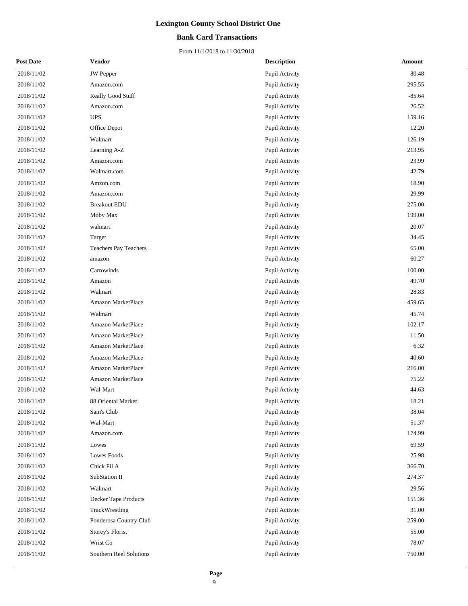### **Bank Card Transactions**

| <b>Post Date</b> | <b>Vendor</b>                | <b>Description</b> | <b>Amount</b> |
|------------------|------------------------------|--------------------|---------------|
| 2018/11/02       | <b>JW</b> Pepper             | Pupil Activity     | 80.48         |
| 2018/11/02       | Amazon.com                   | Pupil Activity     | 295.55        |
| 2018/11/02       | Really Good Stuff            | Pupil Activity     | $-85.64$      |
| 2018/11/02       | Amazon.com                   | Pupil Activity     | 26.52         |
| 2018/11/02       | <b>UPS</b>                   | Pupil Activity     | 159.16        |
| 2018/11/02       | Office Depot                 | Pupil Activity     | 12.20         |
| 2018/11/02       | Walmart                      | Pupil Activity     | 126.19        |
| 2018/11/02       | Learning A-Z                 | Pupil Activity     | 213.95        |
| 2018/11/02       | Amazon.com                   | Pupil Activity     | 23.99         |
| 2018/11/02       | Walmart.com                  | Pupil Activity     | 42.79         |
| 2018/11/02       | Amzon.com                    | Pupil Activity     | 18.90         |
| 2018/11/02       | Amazon.com                   | Pupil Activity     | 29.99         |
| 2018/11/02       | <b>Breakout EDU</b>          | Pupil Activity     | 275.00        |
| 2018/11/02       | Moby Max                     | Pupil Activity     | 199.00        |
| 2018/11/02       | walmart                      | Pupil Activity     | 20.07         |
| 2018/11/02       | Target                       | Pupil Activity     | 34.45         |
| 2018/11/02       | <b>Teachers Pay Teachers</b> | Pupil Activity     | 65.00         |
| 2018/11/02       | amazon                       | Pupil Activity     | 60.27         |
| 2018/11/02       | Carrowinds                   | Pupil Activity     | 100.00        |
| 2018/11/02       | Amazon                       | Pupil Activity     | 49.70         |
| 2018/11/02       | Walmart                      | Pupil Activity     | 28.83         |
| 2018/11/02       | Amazon MarketPlace           | Pupil Activity     | 459.65        |
| 2018/11/02       | Walmart                      | Pupil Activity     | 45.74         |
| 2018/11/02       | Amazon MarketPlace           | Pupil Activity     | 102.17        |
| 2018/11/02       | Amazon MarketPlace           | Pupil Activity     | 11.50         |
| 2018/11/02       | Amazon MarketPlace           | Pupil Activity     | 6.32          |
| 2018/11/02       | Amazon MarketPlace           | Pupil Activity     | 40.60         |
| 2018/11/02       | Amazon MarketPlace           | Pupil Activity     | 216.00        |
| 2018/11/02       | Amazon MarketPlace           | Pupil Activity     | 75.22         |
| 2018/11/02       | Wal-Mart                     | Pupil Activity     | 44.63         |
| 2018/11/02       | 88 Oriental Market           | Pupil Activity     | 18.21         |
| 2018/11/02       | Sam's Club                   | Pupil Activity     | 38.04         |
| 2018/11/02       | Wal-Mart                     | Pupil Activity     | 51.37         |
| 2018/11/02       | Amazon.com                   | Pupil Activity     | 174.99        |
| 2018/11/02       | Lowes                        | Pupil Activity     | 69.59         |
| 2018/11/02       | Lowes Foods                  | Pupil Activity     | 25.98         |
| 2018/11/02       | Chick Fil A                  | Pupil Activity     | 366.70        |
| 2018/11/02       | SubStation II                | Pupil Activity     | 274.37        |
| 2018/11/02       | Walmart                      | Pupil Activity     | 29.56         |
| 2018/11/02       | Decker Tape Products         | Pupil Activity     | 151.36        |
| 2018/11/02       | TrackWrestling               | Pupil Activity     | $31.00\,$     |
| 2018/11/02       | Ponderosa Country Club       | Pupil Activity     | 259.00        |
| 2018/11/02       | Storey's Florist             | Pupil Activity     | 55.00         |
| 2018/11/02       | Wrist Co                     | Pupil Activity     | 78.07         |
| 2018/11/02       | Southern Reel Solutions      | Pupil Activity     | 750.00        |
|                  |                              |                    |               |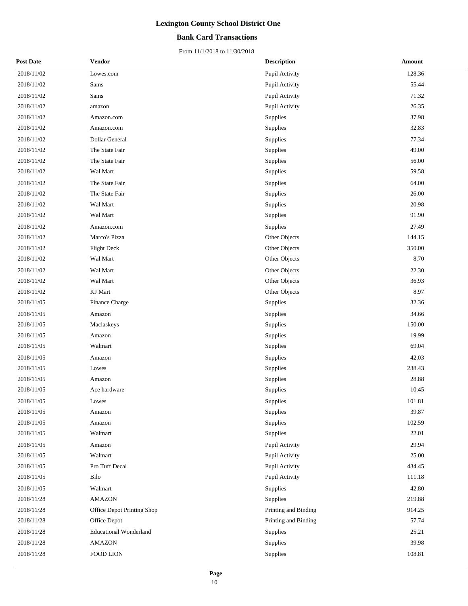### **Bank Card Transactions**

| <b>Post Date</b> | <b>Vendor</b>                 | <b>Description</b>   | Amount |
|------------------|-------------------------------|----------------------|--------|
| 2018/11/02       | Lowes.com                     | Pupil Activity       | 128.36 |
| 2018/11/02       | Sams                          | Pupil Activity       | 55.44  |
| 2018/11/02       | Sams                          | Pupil Activity       | 71.32  |
| 2018/11/02       | amazon                        | Pupil Activity       | 26.35  |
| 2018/11/02       | Amazon.com                    | Supplies             | 37.98  |
| 2018/11/02       | Amazon.com                    | Supplies             | 32.83  |
| 2018/11/02       | Dollar General                | Supplies             | 77.34  |
| 2018/11/02       | The State Fair                | Supplies             | 49.00  |
| 2018/11/02       | The State Fair                | Supplies             | 56.00  |
| 2018/11/02       | Wal Mart                      | Supplies             | 59.58  |
| 2018/11/02       | The State Fair                | Supplies             | 64.00  |
| 2018/11/02       | The State Fair                | Supplies             | 26.00  |
| 2018/11/02       | Wal Mart                      | Supplies             | 20.98  |
| 2018/11/02       | Wal Mart                      | Supplies             | 91.90  |
| 2018/11/02       | Amazon.com                    | Supplies             | 27.49  |
| 2018/11/02       | Marco's Pizza                 | Other Objects        | 144.15 |
| 2018/11/02       | Flight Deck                   | Other Objects        | 350.00 |
| 2018/11/02       | Wal Mart                      | Other Objects        | 8.70   |
| 2018/11/02       | Wal Mart                      | Other Objects        | 22.30  |
| 2018/11/02       | Wal Mart                      | Other Objects        | 36.93  |
| 2018/11/02       | KJ Mart                       | Other Objects        | 8.97   |
| 2018/11/05       | Finance Charge                | Supplies             | 32.36  |
| 2018/11/05       | Amazon                        | Supplies             | 34.66  |
| 2018/11/05       | Maclaskeys                    | Supplies             | 150.00 |
| 2018/11/05       | Amazon                        | Supplies             | 19.99  |
| 2018/11/05       | Walmart                       | Supplies             | 69.04  |
| 2018/11/05       | Amazon                        | Supplies             | 42.03  |
| 2018/11/05       | Lowes                         | Supplies             | 238.43 |
| 2018/11/05       | Amazon                        | Supplies             | 28.88  |
| 2018/11/05       | Ace hardware                  | Supplies             | 10.45  |
| 2018/11/05       | Lowes                         | Supplies             | 101.81 |
| 2018/11/05       | Amazon                        | Supplies             | 39.87  |
| 2018/11/05       | Amazon                        | Supplies             | 102.59 |
| 2018/11/05       | Walmart                       | Supplies             | 22.01  |
| 2018/11/05       | Amazon                        | Pupil Activity       | 29.94  |
| 2018/11/05       | Walmart                       | Pupil Activity       | 25.00  |
| 2018/11/05       | Pro Tuff Decal                | Pupil Activity       | 434.45 |
| 2018/11/05       | Bilo                          | Pupil Activity       | 111.18 |
| 2018/11/05       | Walmart                       | Supplies             | 42.80  |
| 2018/11/28       | <b>AMAZON</b>                 | Supplies             | 219.88 |
| 2018/11/28       | Office Depot Printing Shop    | Printing and Binding | 914.25 |
| 2018/11/28       | Office Depot                  | Printing and Binding | 57.74  |
| 2018/11/28       | <b>Educational Wonderland</b> | Supplies             | 25.21  |
| 2018/11/28       | <b>AMAZON</b>                 | Supplies             | 39.98  |
| 2018/11/28       | FOOD LION                     | Supplies             | 108.81 |
|                  |                               |                      |        |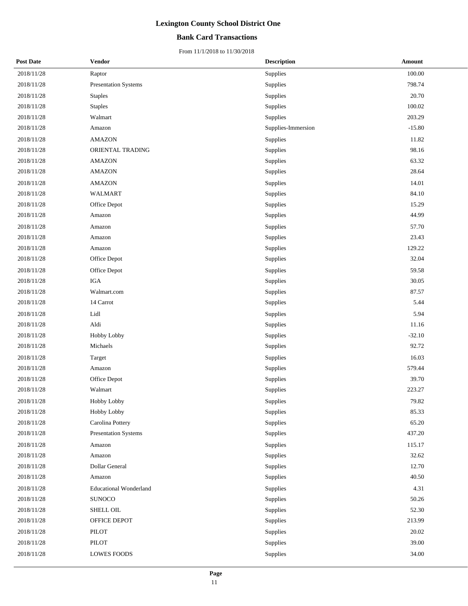### **Bank Card Transactions**

| <b>Post Date</b> | <b>Vendor</b>                 | <b>Description</b> | Amount   |
|------------------|-------------------------------|--------------------|----------|
| 2018/11/28       | Raptor                        | Supplies           | 100.00   |
| 2018/11/28       | Presentation Systems          | Supplies           | 798.74   |
| 2018/11/28       | <b>Staples</b>                | Supplies           | 20.70    |
| 2018/11/28       | <b>Staples</b>                | Supplies           | 100.02   |
| 2018/11/28       | Walmart                       | Supplies           | 203.29   |
| 2018/11/28       | Amazon                        | Supplies-Immersion | $-15.80$ |
| 2018/11/28       | <b>AMAZON</b>                 | Supplies           | 11.82    |
| 2018/11/28       | ORIENTAL TRADING              | Supplies           | 98.16    |
| 2018/11/28       | <b>AMAZON</b>                 | Supplies           | 63.32    |
| 2018/11/28       | <b>AMAZON</b>                 | Supplies           | 28.64    |
| 2018/11/28       | <b>AMAZON</b>                 | Supplies           | 14.01    |
| 2018/11/28       | <b>WALMART</b>                | Supplies           | 84.10    |
| 2018/11/28       | Office Depot                  | Supplies           | 15.29    |
| 2018/11/28       | Amazon                        | Supplies           | 44.99    |
| 2018/11/28       | Amazon                        | Supplies           | 57.70    |
| 2018/11/28       | Amazon                        | Supplies           | 23.43    |
| 2018/11/28       | Amazon                        | Supplies           | 129.22   |
| 2018/11/28       | Office Depot                  | Supplies           | 32.04    |
| 2018/11/28       | Office Depot                  | Supplies           | 59.58    |
| 2018/11/28       | $_{\rm IGA}$                  | Supplies           | 30.05    |
| 2018/11/28       | Walmart.com                   | Supplies           | 87.57    |
| 2018/11/28       | 14 Carrot                     | Supplies           | 5.44     |
| 2018/11/28       | Lidl                          | Supplies           | 5.94     |
| 2018/11/28       | Aldi                          | Supplies           | 11.16    |
| 2018/11/28       | Hobby Lobby                   | Supplies           | $-32.10$ |
| 2018/11/28       | $\rm Michaels$                | Supplies           | 92.72    |
| 2018/11/28       | Target                        | Supplies           | 16.03    |
| 2018/11/28       | Amazon                        | Supplies           | 579.44   |
| 2018/11/28       | Office Depot                  | Supplies           | 39.70    |
| 2018/11/28       | Walmart                       | Supplies           | 223.27   |
| 2018/11/28       | Hobby Lobby                   | Supplies           | 79.82    |
| 2018/11/28       | Hobby Lobby                   | Supplies           | 85.33    |
| 2018/11/28       | Carolina Pottery              | Supplies           | 65.20    |
| 2018/11/28       | Presentation Systems          | Supplies           | 437.20   |
| 2018/11/28       | Amazon                        | Supplies           | 115.17   |
| 2018/11/28       | Amazon                        | Supplies           | 32.62    |
| 2018/11/28       | Dollar General                | Supplies           | 12.70    |
| 2018/11/28       | Amazon                        | Supplies           | 40.50    |
| 2018/11/28       | <b>Educational Wonderland</b> | Supplies           | 4.31     |
| 2018/11/28       | <b>SUNOCO</b>                 | Supplies           | 50.26    |
| 2018/11/28       | SHELL OIL                     | Supplies           | 52.30    |
| 2018/11/28       | OFFICE DEPOT                  | Supplies           | 213.99   |
| 2018/11/28       | PILOT                         | Supplies           | 20.02    |
| 2018/11/28       | PILOT                         | Supplies           | 39.00    |
| 2018/11/28       | <b>LOWES FOODS</b>            | Supplies           | 34.00    |
|                  |                               |                    |          |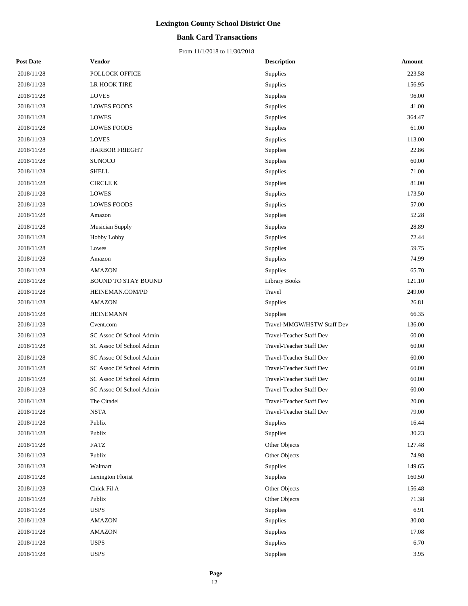### **Bank Card Transactions**

| <b>Post Date</b> | Vendor                     | <b>Description</b>              | Amount |
|------------------|----------------------------|---------------------------------|--------|
| 2018/11/28       | POLLOCK OFFICE             | Supplies                        | 223.58 |
| 2018/11/28       | LR HOOK TIRE               | Supplies                        | 156.95 |
| 2018/11/28       | <b>LOVES</b>               | Supplies                        | 96.00  |
| 2018/11/28       | <b>LOWES FOODS</b>         | Supplies                        | 41.00  |
| 2018/11/28       | <b>LOWES</b>               | Supplies                        | 364.47 |
| 2018/11/28       | <b>LOWES FOODS</b>         | Supplies                        | 61.00  |
| 2018/11/28       | <b>LOVES</b>               | Supplies                        | 113.00 |
| 2018/11/28       | <b>HARBOR FRIEGHT</b>      | Supplies                        | 22.86  |
| 2018/11/28       | <b>SUNOCO</b>              | Supplies                        | 60.00  |
| 2018/11/28       | <b>SHELL</b>               | Supplies                        | 71.00  |
| 2018/11/28       | <b>CIRCLE K</b>            | Supplies                        | 81.00  |
| 2018/11/28       | <b>LOWES</b>               | Supplies                        | 173.50 |
| 2018/11/28       | <b>LOWES FOODS</b>         | Supplies                        | 57.00  |
| 2018/11/28       | Amazon                     | Supplies                        | 52.28  |
| 2018/11/28       | Musician Supply            | Supplies                        | 28.89  |
| 2018/11/28       | <b>Hobby Lobby</b>         | Supplies                        | 72.44  |
| 2018/11/28       | Lowes                      | Supplies                        | 59.75  |
| 2018/11/28       | Amazon                     | Supplies                        | 74.99  |
| 2018/11/28       | <b>AMAZON</b>              | Supplies                        | 65.70  |
| 2018/11/28       | <b>BOUND TO STAY BOUND</b> | <b>Library Books</b>            | 121.10 |
| 2018/11/28       | HEINEMAN.COM/PD            | Travel                          | 249.00 |
| 2018/11/28       | <b>AMAZON</b>              | Supplies                        | 26.81  |
| 2018/11/28       | <b>HEINEMANN</b>           | Supplies                        | 66.35  |
| 2018/11/28       | Cvent.com                  | Travel-MMGW/HSTW Staff Dev      | 136.00 |
| 2018/11/28       | SC Assoc Of School Admin   | Travel-Teacher Staff Dev        | 60.00  |
| 2018/11/28       | SC Assoc Of School Admin   | Travel-Teacher Staff Dev        | 60.00  |
| 2018/11/28       | SC Assoc Of School Admin   | Travel-Teacher Staff Dev        | 60.00  |
| 2018/11/28       | SC Assoc Of School Admin   | Travel-Teacher Staff Dev        | 60.00  |
| 2018/11/28       | SC Assoc Of School Admin   | Travel-Teacher Staff Dev        | 60.00  |
| 2018/11/28       | SC Assoc Of School Admin   | <b>Travel-Teacher Staff Dev</b> | 60.00  |
| 2018/11/28       | The Citadel                | Travel-Teacher Staff Dev        | 20.00  |
| 2018/11/28       | <b>NSTA</b>                | Travel-Teacher Staff Dev        | 79.00  |
| 2018/11/28       | Publix                     | Supplies                        | 16.44  |
| 2018/11/28       | Publix                     | Supplies                        | 30.23  |
| 2018/11/28       | <b>FATZ</b>                | Other Objects                   | 127.48 |
| 2018/11/28       | Publix                     | Other Objects                   | 74.98  |
| 2018/11/28       | Walmart                    | Supplies                        | 149.65 |
| 2018/11/28       | Lexington Florist          | Supplies                        | 160.50 |
| 2018/11/28       | Chick Fil A                | Other Objects                   | 156.48 |
| 2018/11/28       | Publix                     | Other Objects                   | 71.38  |
| 2018/11/28       | <b>USPS</b>                | Supplies                        | 6.91   |
| 2018/11/28       | <b>AMAZON</b>              | Supplies                        | 30.08  |
| 2018/11/28       | <b>AMAZON</b>              | Supplies                        | 17.08  |
| 2018/11/28       | <b>USPS</b>                | Supplies                        | 6.70   |
| 2018/11/28       | <b>USPS</b>                | Supplies                        | 3.95   |
|                  |                            |                                 |        |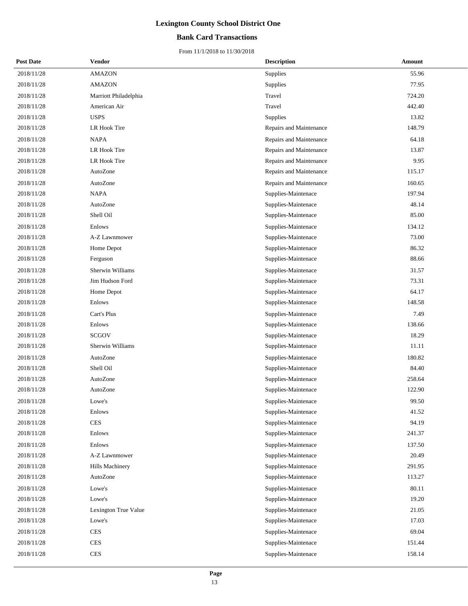### **Bank Card Transactions**

| <b>Post Date</b> | <b>Vendor</b>         | <b>Description</b>      | <b>Amount</b> |  |
|------------------|-----------------------|-------------------------|---------------|--|
| 2018/11/28       | <b>AMAZON</b>         | Supplies                | 55.96         |  |
| 2018/11/28       | <b>AMAZON</b>         | Supplies                | 77.95         |  |
| 2018/11/28       | Marriott Philadelphia | Travel                  | 724.20        |  |
| 2018/11/28       | American Air          | Travel                  | 442.40        |  |
| 2018/11/28       | <b>USPS</b>           | Supplies                | 13.82         |  |
| 2018/11/28       | LR Hook Tire          | Repairs and Maintenance | 148.79        |  |
| 2018/11/28       | <b>NAPA</b>           | Repairs and Maintenance | 64.18         |  |
| 2018/11/28       | LR Hook Tire          | Repairs and Maintenance | 13.87         |  |
| 2018/11/28       | LR Hook Tire          | Repairs and Maintenance | 9.95          |  |
| 2018/11/28       | AutoZone              | Repairs and Maintenance | 115.17        |  |
| 2018/11/28       | AutoZone              | Repairs and Maintenance | 160.65        |  |
| 2018/11/28       | <b>NAPA</b>           | Supplies-Maintenace     | 197.94        |  |
| 2018/11/28       | AutoZone              | Supplies-Maintenace     | 48.14         |  |
| 2018/11/28       | Shell Oil             | Supplies-Maintenace     | 85.00         |  |
| 2018/11/28       | Enlows                | Supplies-Maintenace     | 134.12        |  |
| 2018/11/28       | A-Z Lawnmower         | Supplies-Maintenace     | 73.00         |  |
| 2018/11/28       | Home Depot            | Supplies-Maintenace     | 86.32         |  |
| 2018/11/28       | Ferguson              | Supplies-Maintenace     | 88.66         |  |
| 2018/11/28       | Sherwin Williams      | Supplies-Maintenace     | 31.57         |  |
| 2018/11/28       | Jim Hudson Ford       | Supplies-Maintenace     | 73.31         |  |
| 2018/11/28       | Home Depot            | Supplies-Maintenace     | 64.17         |  |
| 2018/11/28       | Enlows                | Supplies-Maintenace     | 148.58        |  |
| 2018/11/28       | Cart's Plus           | Supplies-Maintenace     | 7.49          |  |
| 2018/11/28       | Enlows                | Supplies-Maintenace     | 138.66        |  |
| 2018/11/28       | <b>SCGOV</b>          | Supplies-Maintenace     | 18.29         |  |
| 2018/11/28       | Sherwin Williams      | Supplies-Maintenace     | 11.11         |  |
| 2018/11/28       | AutoZone              | Supplies-Maintenace     | 180.82        |  |
| 2018/11/28       | Shell Oil             | Supplies-Maintenace     | 84.40         |  |
| 2018/11/28       | AutoZone              | Supplies-Maintenace     | 258.64        |  |
| 2018/11/28       | AutoZone              | Supplies-Maintenace     | 122.90        |  |
| 2018/11/28       | Lowe's                | Supplies-Maintenace     | 99.50         |  |
| 2018/11/28       | Enlows                | Supplies-Maintenace     | 41.52         |  |
| 2018/11/28       | <b>CES</b>            | Supplies-Maintenace     | 94.19         |  |
| 2018/11/28       | Enlows                | Supplies-Maintenace     | 241.37        |  |
| 2018/11/28       | Enlows                | Supplies-Maintenace     | 137.50        |  |
| 2018/11/28       | A-Z Lawnmower         | Supplies-Maintenace     | 20.49         |  |
| 2018/11/28       | Hills Machinery       | Supplies-Maintenace     | 291.95        |  |
| 2018/11/28       | AutoZone              | Supplies-Maintenace     | 113.27        |  |
| 2018/11/28       | Lowe's                | Supplies-Maintenace     | 80.11         |  |
| 2018/11/28       | Lowe's                | Supplies-Maintenace     | 19.20         |  |
| 2018/11/28       | Lexington True Value  | Supplies-Maintenace     | 21.05         |  |
| 2018/11/28       | Lowe's                | Supplies-Maintenace     | 17.03         |  |
| 2018/11/28       | <b>CES</b>            | Supplies-Maintenace     | 69.04         |  |
| 2018/11/28       | <b>CES</b>            | Supplies-Maintenace     | 151.44        |  |
| 2018/11/28       | <b>CES</b>            | Supplies-Maintenace     | 158.14        |  |
|                  |                       |                         |               |  |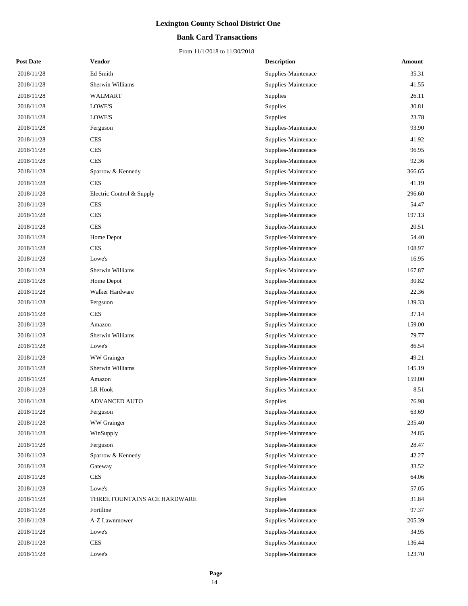### **Bank Card Transactions**

| <b>Post Date</b> | <b>Vendor</b>                | <b>Description</b>  | Amount |
|------------------|------------------------------|---------------------|--------|
| 2018/11/28       | Ed Smith                     | Supplies-Maintenace | 35.31  |
| 2018/11/28       | Sherwin Williams             | Supplies-Maintenace | 41.55  |
| 2018/11/28       | WALMART                      | Supplies            | 26.11  |
| 2018/11/28       | LOWE'S                       | Supplies            | 30.81  |
| 2018/11/28       | LOWE'S                       | Supplies            | 23.78  |
| 2018/11/28       | Ferguson                     | Supplies-Maintenace | 93.90  |
| 2018/11/28       | <b>CES</b>                   | Supplies-Maintenace | 41.92  |
| 2018/11/28       | <b>CES</b>                   | Supplies-Maintenace | 96.95  |
| 2018/11/28       | <b>CES</b>                   | Supplies-Maintenace | 92.36  |
| 2018/11/28       | Sparrow & Kennedy            | Supplies-Maintenace | 366.65 |
| 2018/11/28       | <b>CES</b>                   | Supplies-Maintenace | 41.19  |
| 2018/11/28       | Electric Control & Supply    | Supplies-Maintenace | 296.60 |
| 2018/11/28       | <b>CES</b>                   | Supplies-Maintenace | 54.47  |
| 2018/11/28       | <b>CES</b>                   | Supplies-Maintenace | 197.13 |
| 2018/11/28       | <b>CES</b>                   | Supplies-Maintenace | 20.51  |
| 2018/11/28       | Home Depot                   | Supplies-Maintenace | 54.40  |
| 2018/11/28       | <b>CES</b>                   | Supplies-Maintenace | 108.97 |
| 2018/11/28       | Lowe's                       | Supplies-Maintenace | 16.95  |
| 2018/11/28       | <b>Sherwin Williams</b>      | Supplies-Maintenace | 167.87 |
| 2018/11/28       | Home Depot                   | Supplies-Maintenace | 30.82  |
| 2018/11/28       | Walker Hardware              | Supplies-Maintenace | 22.36  |
| 2018/11/28       | Fergsuon                     | Supplies-Maintenace | 139.33 |
| 2018/11/28       | <b>CES</b>                   | Supplies-Maintenace | 37.14  |
| 2018/11/28       | Amazon                       | Supplies-Maintenace | 159.00 |
| 2018/11/28       | Sherwin Williams             | Supplies-Maintenace | 79.77  |
| 2018/11/28       | Lowe's                       | Supplies-Maintenace | 86.54  |
| 2018/11/28       | WW Grainger                  | Supplies-Maintenace | 49.21  |
| 2018/11/28       | Sherwin Williams             | Supplies-Maintenace | 145.19 |
| 2018/11/28       | Amazon                       | Supplies-Maintenace | 159.00 |
| 2018/11/28       | LR Hook                      | Supplies-Maintenace | 8.51   |
| 2018/11/28       | ADVANCED AUTO                | <b>Supplies</b>     | 76.98  |
| 2018/11/28       | Ferguson                     | Supplies-Maintenace | 63.69  |
| 2018/11/28       | WW Grainger                  | Supplies-Maintenace | 235.40 |
| 2018/11/28       | WinSupply                    | Supplies-Maintenace | 24.85  |
| 2018/11/28       | Ferguson                     | Supplies-Maintenace | 28.47  |
| 2018/11/28       | Sparrow & Kennedy            | Supplies-Maintenace | 42.27  |
| 2018/11/28       | Gateway                      | Supplies-Maintenace | 33.52  |
| 2018/11/28       | <b>CES</b>                   | Supplies-Maintenace | 64.06  |
| 2018/11/28       | Lowe's                       | Supplies-Maintenace | 57.05  |
| 2018/11/28       | THREE FOUNTAINS ACE HARDWARE | <b>Supplies</b>     | 31.84  |
| 2018/11/28       | Fortiline                    | Supplies-Maintenace | 97.37  |
| 2018/11/28       | A-Z Lawnmower                | Supplies-Maintenace | 205.39 |
| 2018/11/28       | Lowe's                       | Supplies-Maintenace | 34.95  |
| 2018/11/28       | $\mbox{CES}$                 | Supplies-Maintenace | 136.44 |
| 2018/11/28       | Lowe's                       | Supplies-Maintenace | 123.70 |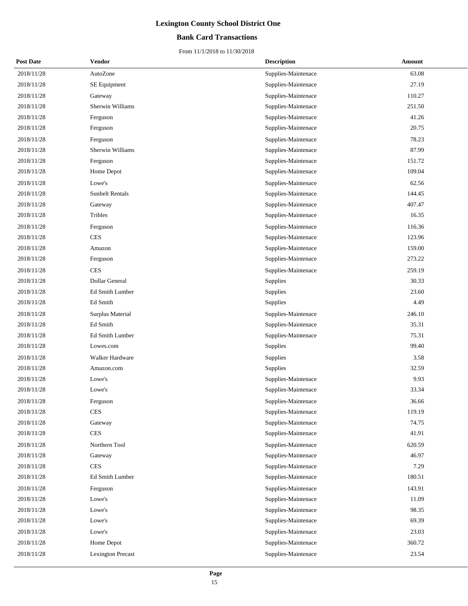### **Bank Card Transactions**

| <b>Post Date</b> | <b>Vendor</b>            | <b>Description</b>  | Amount |
|------------------|--------------------------|---------------------|--------|
| 2018/11/28       | AutoZone                 | Supplies-Maintenace | 63.08  |
| 2018/11/28       | SE Equipment             | Supplies-Maintenace | 27.19  |
| 2018/11/28       | Gateway                  | Supplies-Maintenace | 110.27 |
| 2018/11/28       | Sherwin Williams         | Supplies-Maintenace | 251.50 |
| 2018/11/28       | Ferguson                 | Supplies-Maintenace | 41.26  |
| 2018/11/28       | Ferguson                 | Supplies-Maintenace | 20.75  |
| 2018/11/28       | Ferguson                 | Supplies-Maintenace | 78.23  |
| 2018/11/28       | Sherwin Williams         | Supplies-Maintenace | 87.99  |
| 2018/11/28       | Ferguson                 | Supplies-Maintenace | 151.72 |
| 2018/11/28       | Home Depot               | Supplies-Maintenace | 109.04 |
| 2018/11/28       | Lowe's                   | Supplies-Maintenace | 62.56  |
| 2018/11/28       | <b>Sunbelt Rentals</b>   | Supplies-Maintenace | 144.45 |
| 2018/11/28       | Gateway                  | Supplies-Maintenace | 407.47 |
| 2018/11/28       | Tribles                  | Supplies-Maintenace | 16.35  |
| 2018/11/28       | Ferguson                 | Supplies-Maintenace | 116.36 |
| 2018/11/28       | <b>CES</b>               | Supplies-Maintenace | 123.96 |
| 2018/11/28       | Amazon                   | Supplies-Maintenace | 159.00 |
| 2018/11/28       | Ferguson                 | Supplies-Maintenace | 273.22 |
| 2018/11/28       | <b>CES</b>               | Supplies-Maintenace | 259.19 |
| 2018/11/28       | Dollar General           | Supplies            | 30.33  |
| 2018/11/28       | Ed Smith Lumber          | Supplies            | 23.60  |
| 2018/11/28       | Ed Smith                 | Supplies            | 4.49   |
| 2018/11/28       | Surplus Material         | Supplies-Maintenace | 246.10 |
| 2018/11/28       | Ed Smith                 | Supplies-Maintenace | 35.31  |
| 2018/11/28       | Ed Smith Lumber          | Supplies-Maintenace | 75.31  |
| 2018/11/28       | Lowes.com                | Supplies            | 99.40  |
| 2018/11/28       | Walker Hardware          | Supplies            | 3.58   |
| 2018/11/28       | Amazon.com               | Supplies            | 32.59  |
| 2018/11/28       | Lowe's                   | Supplies-Maintenace | 9.93   |
| 2018/11/28       | Lowe's                   | Supplies-Maintenace | 33.34  |
| 2018/11/28       | Ferguson                 | Supplies-Maintenace | 36.66  |
| 2018/11/28       | <b>CES</b>               | Supplies-Maintenace | 119.19 |
| 2018/11/28       | Gateway                  | Supplies-Maintenace | 74.75  |
| 2018/11/28       | <b>CES</b>               | Supplies-Maintenace | 41.91  |
| 2018/11/28       | Northern Tool            | Supplies-Maintenace | 620.59 |
| 2018/11/28       | Gateway                  | Supplies-Maintenace | 46.97  |
| 2018/11/28       | <b>CES</b>               | Supplies-Maintenace | 7.29   |
| 2018/11/28       | Ed Smith Lumber          | Supplies-Maintenace | 180.51 |
| 2018/11/28       | Ferguson                 | Supplies-Maintenace | 143.91 |
| 2018/11/28       | Lowe's                   | Supplies-Maintenace | 11.09  |
| 2018/11/28       | Lowe's                   | Supplies-Maintenace | 98.35  |
| 2018/11/28       | Lowe's                   | Supplies-Maintenace | 69.39  |
| 2018/11/28       | Lowe's                   | Supplies-Maintenace | 23.03  |
| 2018/11/28       | Home Depot               | Supplies-Maintenace | 360.72 |
| 2018/11/28       | <b>Lexington Precast</b> | Supplies-Maintenace | 23.54  |
|                  |                          |                     |        |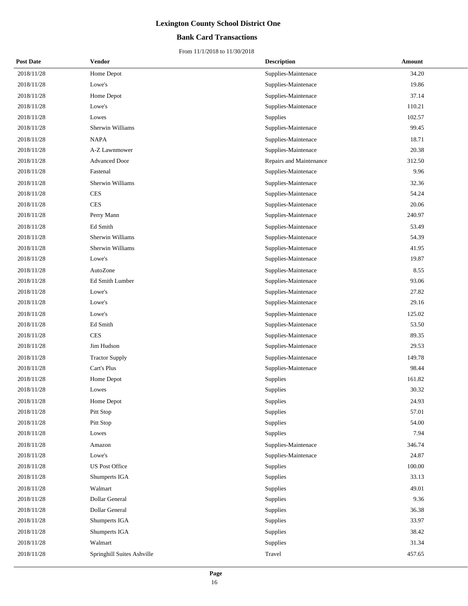### **Bank Card Transactions**

| <b>Post Date</b> | <b>Vendor</b>              | <b>Description</b>      | Amount |
|------------------|----------------------------|-------------------------|--------|
| 2018/11/28       | Home Depot                 | Supplies-Maintenace     | 34.20  |
| 2018/11/28       | Lowe's                     | Supplies-Maintenace     | 19.86  |
| 2018/11/28       | Home Depot                 | Supplies-Maintenace     | 37.14  |
| 2018/11/28       | Lowe's                     | Supplies-Maintenace     | 110.21 |
| 2018/11/28       | Lowes                      | Supplies                | 102.57 |
| 2018/11/28       | Sherwin Williams           | Supplies-Maintenace     | 99.45  |
| 2018/11/28       | <b>NAPA</b>                | Supplies-Maintenace     | 18.71  |
| 2018/11/28       | A-Z Lawnmower              | Supplies-Maintenace     | 20.38  |
| 2018/11/28       | <b>Advanced Door</b>       | Repairs and Maintenance | 312.50 |
| 2018/11/28       | Fastenal                   | Supplies-Maintenace     | 9.96   |
| 2018/11/28       | Sherwin Williams           | Supplies-Maintenace     | 32.36  |
| 2018/11/28       | <b>CES</b>                 | Supplies-Maintenace     | 54.24  |
| 2018/11/28       | <b>CES</b>                 | Supplies-Maintenace     | 20.06  |
| 2018/11/28       | Perry Mann                 | Supplies-Maintenace     | 240.97 |
| 2018/11/28       | Ed Smith                   | Supplies-Maintenace     | 53.49  |
| 2018/11/28       | Sherwin Williams           | Supplies-Maintenace     | 54.39  |
| 2018/11/28       | Sherwin Williams           | Supplies-Maintenace     | 41.95  |
| 2018/11/28       | Lowe's                     | Supplies-Maintenace     | 19.87  |
| 2018/11/28       | AutoZone                   | Supplies-Maintenace     | 8.55   |
| 2018/11/28       | Ed Smith Lumber            | Supplies-Maintenace     | 93.06  |
| 2018/11/28       | Lowe's                     | Supplies-Maintenace     | 27.82  |
| 2018/11/28       | Lowe's                     | Supplies-Maintenace     | 29.16  |
| 2018/11/28       | Lowe's                     | Supplies-Maintenace     | 125.02 |
| 2018/11/28       | Ed Smith                   | Supplies-Maintenace     | 53.50  |
| 2018/11/28       | <b>CES</b>                 | Supplies-Maintenace     | 89.35  |
| 2018/11/28       | Jim Hudson                 | Supplies-Maintenace     | 29.53  |
| 2018/11/28       | <b>Tractor Supply</b>      | Supplies-Maintenace     | 149.78 |
| 2018/11/28       | Cart's Plus                | Supplies-Maintenace     | 98.44  |
| 2018/11/28       | Home Depot                 | Supplies                | 161.82 |
| 2018/11/28       | Lowes                      | Supplies                | 30.32  |
| 2018/11/28       | Home Depot                 | Supplies                | 24.93  |
| 2018/11/28       | Pitt Stop                  | <b>Supplies</b>         | 57.01  |
| 2018/11/28       | Pitt Stop                  | Supplies                | 54.00  |
| 2018/11/28       | Lowes                      | Supplies                | 7.94   |
| 2018/11/28       | Amazon                     | Supplies-Maintenace     | 346.74 |
| 2018/11/28       | Lowe's                     | Supplies-Maintenace     | 24.87  |
| 2018/11/28       | <b>US Post Office</b>      | Supplies                | 100.00 |
| 2018/11/28       | Shumperts IGA              | Supplies                | 33.13  |
| 2018/11/28       | Walmart                    | Supplies                | 49.01  |
| 2018/11/28       | Dollar General             | Supplies                | 9.36   |
| 2018/11/28       | Dollar General             | Supplies                | 36.38  |
| 2018/11/28       | Shumperts IGA              | Supplies                | 33.97  |
| 2018/11/28       | Shumperts IGA              | Supplies                | 38.42  |
| 2018/11/28       | Walmart                    | Supplies                | 31.34  |
| 2018/11/28       | Springhill Suites Ashville | Travel                  | 457.65 |
|                  |                            |                         |        |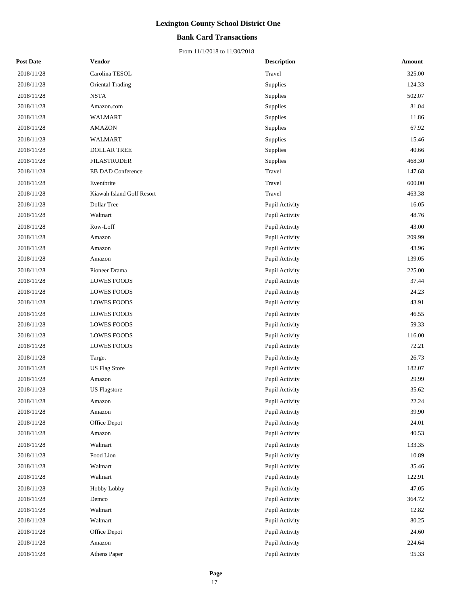### **Bank Card Transactions**

| <b>Post Date</b> | <b>Vendor</b>             | <b>Description</b> | Amount |
|------------------|---------------------------|--------------------|--------|
| 2018/11/28       | Carolina TESOL            | Travel             | 325.00 |
| 2018/11/28       | <b>Oriental Trading</b>   | Supplies           | 124.33 |
| 2018/11/28       | <b>NSTA</b>               | Supplies           | 502.07 |
| 2018/11/28       | Amazon.com                | Supplies           | 81.04  |
| 2018/11/28       | WALMART                   | Supplies           | 11.86  |
| 2018/11/28       | <b>AMAZON</b>             | Supplies           | 67.92  |
| 2018/11/28       | WALMART                   | Supplies           | 15.46  |
| 2018/11/28       | <b>DOLLAR TREE</b>        | Supplies           | 40.66  |
| 2018/11/28       | <b>FILASTRUDER</b>        | Supplies           | 468.30 |
| 2018/11/28       | EB DAD Conference         | Travel             | 147.68 |
| 2018/11/28       | Eventbrite                | Travel             | 600.00 |
| 2018/11/28       | Kiawah Island Golf Resort | Travel             | 463.38 |
| 2018/11/28       | Dollar Tree               | Pupil Activity     | 16.05  |
| 2018/11/28       | Walmart                   | Pupil Activity     | 48.76  |
| 2018/11/28       | Row-Loff                  | Pupil Activity     | 43.00  |
| 2018/11/28       | Amazon                    | Pupil Activity     | 209.99 |
| 2018/11/28       | Amazon                    | Pupil Activity     | 43.96  |
| 2018/11/28       | Amazon                    | Pupil Activity     | 139.05 |
| 2018/11/28       | Pioneer Drama             | Pupil Activity     | 225.00 |
| 2018/11/28       | <b>LOWES FOODS</b>        | Pupil Activity     | 37.44  |
| 2018/11/28       | <b>LOWES FOODS</b>        | Pupil Activity     | 24.23  |
| 2018/11/28       | <b>LOWES FOODS</b>        | Pupil Activity     | 43.91  |
| 2018/11/28       | <b>LOWES FOODS</b>        | Pupil Activity     | 46.55  |
| 2018/11/28       | <b>LOWES FOODS</b>        | Pupil Activity     | 59.33  |
| 2018/11/28       | <b>LOWES FOODS</b>        | Pupil Activity     | 116.00 |
| 2018/11/28       | <b>LOWES FOODS</b>        | Pupil Activity     | 72.21  |
| 2018/11/28       | Target                    | Pupil Activity     | 26.73  |
| 2018/11/28       | <b>US Flag Store</b>      | Pupil Activity     | 182.07 |
| 2018/11/28       | Amazon                    | Pupil Activity     | 29.99  |
| 2018/11/28       | <b>US</b> Flagstore       | Pupil Activity     | 35.62  |
| 2018/11/28       | Amazon                    | Pupil Activity     | 22.24  |
| 2018/11/28       | Amazon                    | Pupil Activity     | 39.90  |
| 2018/11/28       | Office Depot              | Pupil Activity     | 24.01  |
| 2018/11/28       | Amazon                    | Pupil Activity     | 40.53  |
| 2018/11/28       | Walmart                   | Pupil Activity     | 133.35 |
| 2018/11/28       | Food Lion                 | Pupil Activity     | 10.89  |
| 2018/11/28       | Walmart                   | Pupil Activity     | 35.46  |
| 2018/11/28       | Walmart                   | Pupil Activity     | 122.91 |
| 2018/11/28       | Hobby Lobby               | Pupil Activity     | 47.05  |
| 2018/11/28       | Demco                     | Pupil Activity     | 364.72 |
| 2018/11/28       | Walmart                   | Pupil Activity     | 12.82  |
| 2018/11/28       | Walmart                   | Pupil Activity     | 80.25  |
| 2018/11/28       | Office Depot              | Pupil Activity     | 24.60  |
| 2018/11/28       | Amazon                    | Pupil Activity     | 224.64 |
| 2018/11/28       | Athens Paper              | Pupil Activity     | 95.33  |
|                  |                           |                    |        |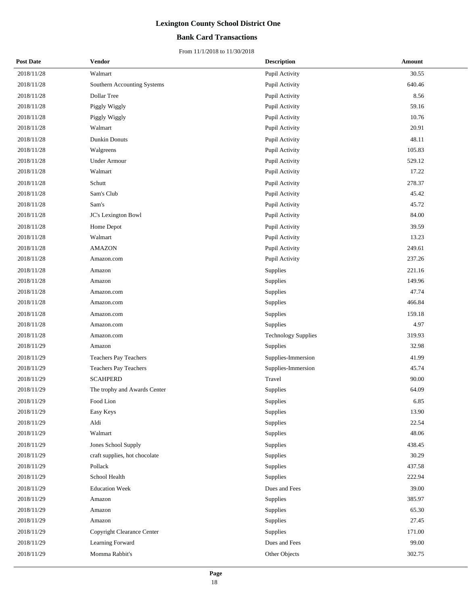### **Bank Card Transactions**

| <b>Post Date</b> | <b>Vendor</b>                 | <b>Description</b>         | Amount |
|------------------|-------------------------------|----------------------------|--------|
| 2018/11/28       | Walmart                       | Pupil Activity             | 30.55  |
| 2018/11/28       | Southern Accounting Systems   | Pupil Activity             | 640.46 |
| 2018/11/28       | Dollar Tree                   | Pupil Activity             | 8.56   |
| 2018/11/28       | Piggly Wiggly                 | Pupil Activity             | 59.16  |
| 2018/11/28       | Piggly Wiggly                 | Pupil Activity             | 10.76  |
| 2018/11/28       | Walmart                       | Pupil Activity             | 20.91  |
| 2018/11/28       | Dunkin Donuts                 | Pupil Activity             | 48.11  |
| 2018/11/28       | Walgreens                     | Pupil Activity             | 105.83 |
| 2018/11/28       | <b>Under Armour</b>           | Pupil Activity             | 529.12 |
| 2018/11/28       | Walmart                       | Pupil Activity             | 17.22  |
| 2018/11/28       | Schutt                        | Pupil Activity             | 278.37 |
| 2018/11/28       | Sam's Club                    | Pupil Activity             | 45.42  |
| 2018/11/28       | Sam's                         | Pupil Activity             | 45.72  |
| 2018/11/28       | JC's Lexington Bowl           | Pupil Activity             | 84.00  |
| 2018/11/28       | Home Depot                    | Pupil Activity             | 39.59  |
| 2018/11/28       | Walmart                       | Pupil Activity             | 13.23  |
| 2018/11/28       | <b>AMAZON</b>                 | Pupil Activity             | 249.61 |
| 2018/11/28       | Amazon.com                    | Pupil Activity             | 237.26 |
| 2018/11/28       | Amazon                        | Supplies                   | 221.16 |
| 2018/11/28       | Amazon                        | Supplies                   | 149.96 |
| 2018/11/28       | Amazon.com                    | Supplies                   | 47.74  |
| 2018/11/28       | Amazon.com                    | Supplies                   | 466.84 |
| 2018/11/28       | Amazon.com                    | Supplies                   | 159.18 |
| 2018/11/28       | Amazon.com                    | Supplies                   | 4.97   |
| 2018/11/28       | Amazon.com                    | <b>Technology Supplies</b> | 319.93 |
| 2018/11/29       | Amazon                        | Supplies                   | 32.98  |
| 2018/11/29       | Teachers Pay Teachers         | Supplies-Immersion         | 41.99  |
| 2018/11/29       | Teachers Pay Teachers         | Supplies-Immersion         | 45.74  |
| 2018/11/29       | <b>SCAHPERD</b>               | Travel                     | 90.00  |
| 2018/11/29       | The trophy and Awards Center  | Supplies                   | 64.09  |
| 2018/11/29       | Food Lion                     | Supplies                   | 6.85   |
| 2018/11/29       | Easy Keys                     | Supplies                   | 13.90  |
| 2018/11/29       | Aldi                          | Supplies                   | 22.54  |
| 2018/11/29       | Walmart                       | Supplies                   | 48.06  |
| 2018/11/29       | Jones School Supply           | Supplies                   | 438.45 |
| 2018/11/29       | craft supplies, hot chocolate | Supplies                   | 30.29  |
| 2018/11/29       | Pollack                       | Supplies                   | 437.58 |
| 2018/11/29       | School Health                 | Supplies                   | 222.94 |
| 2018/11/29       | <b>Education Week</b>         | Dues and Fees              | 39.00  |
| 2018/11/29       | Amazon                        | Supplies                   | 385.97 |
| 2018/11/29       | Amazon                        | Supplies                   | 65.30  |
| 2018/11/29       | Amazon                        | Supplies                   | 27.45  |
| 2018/11/29       | Copyright Clearance Center    | Supplies                   | 171.00 |
| 2018/11/29       | Learning Forward              | Dues and Fees              | 99.00  |
| 2018/11/29       | Momma Rabbit's                | Other Objects              | 302.75 |
|                  |                               |                            |        |